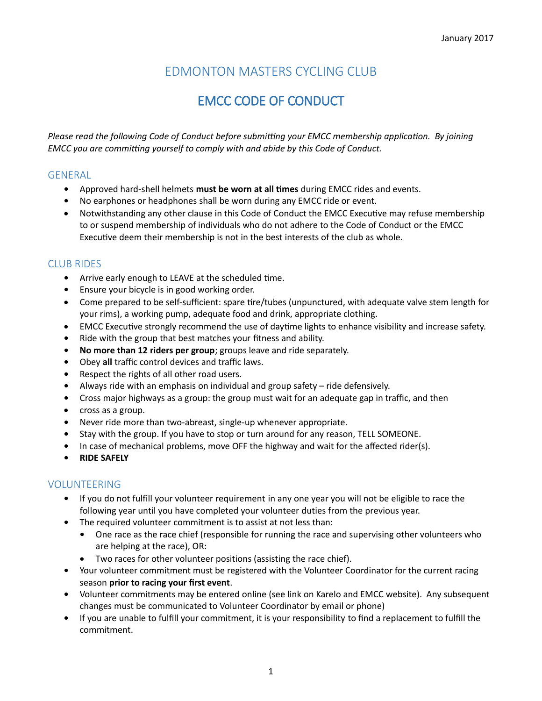## EDMONTON MASTERS CYCLING CLUB

# EMCC CODE OF CONDUCT

*Please read the following Code of Conduct before submitting your EMCC membership application. By joining EMCC you are committing yourself to comply with and abide by this Code of Conduct.* 

#### GENERAL

- **•** Approved hard-shell helmets **must be worn at all times** during EMCC rides and events.
- **•** No earphones or headphones shall be worn during any EMCC ride or event.
- Notwithstanding any other clause in this Code of Conduct the EMCC Executive may refuse membership to or suspend membership of individuals who do not adhere to the Code of Conduct or the EMCC Executive deem their membership is not in the best interests of the club as whole.

## CLUB RIDES

- **•** Arrive early enough to LEAVE at the scheduled time.
- **•** Ensure your bicycle is in good working order.
- Come prepared to be self-sufficient: spare tire/tubes (unpunctured, with adequate valve stem length for your rims), a working pump, adequate food and drink, appropriate clothing.
- EMCC Executive strongly recommend the use of daytime lights to enhance visibility and increase safety.
- **•** Ride with the group that best matches your fitness and ability.
- **• No more than 12 riders per group**; groups leave and ride separately.
- **•** Obey **all** traffic control devices and traffic laws.
- **•** Respect the rights of all other road users.
- **•** Always ride with an emphasis on individual and group safety ride defensively.
- **•** Cross major highways as a group: the group must wait for an adequate gap in traffic, and then
- cross as a group.
- **•** Never ride more than two-abreast, single-up whenever appropriate.
- **•** Stay with the group. If you have to stop or turn around for any reason, TELL SOMEONE.
- **•** In case of mechanical problems, move OFF the highway and wait for the affected rider(s).
- **• RIDE SAFELY**

### VOLUNTEERING

- **•** If you do not fulfill your volunteer requirement in any one year you will not be eligible to race the following year until you have completed your volunteer duties from the previous year.
- **•** The required volunteer commitment is to assist at not less than:
	- **•** One race as the race chief (responsible for running the race and supervising other volunteers who are helping at the race), OR:
	- Two races for other volunteer positions (assisting the race chief).
- **•** Your volunteer commitment must be registered with the Volunteer Coordinator for the current racing season **prior to racing your first event**.
- **•** Volunteer commitments may be entered online (see link on Karelo and EMCC website). Any subsequent changes must be communicated to Volunteer Coordinator by email or phone)
- **•** If you are unable to fulfill your commitment, it is your responsibility to find a replacement to fulfill the commitment.